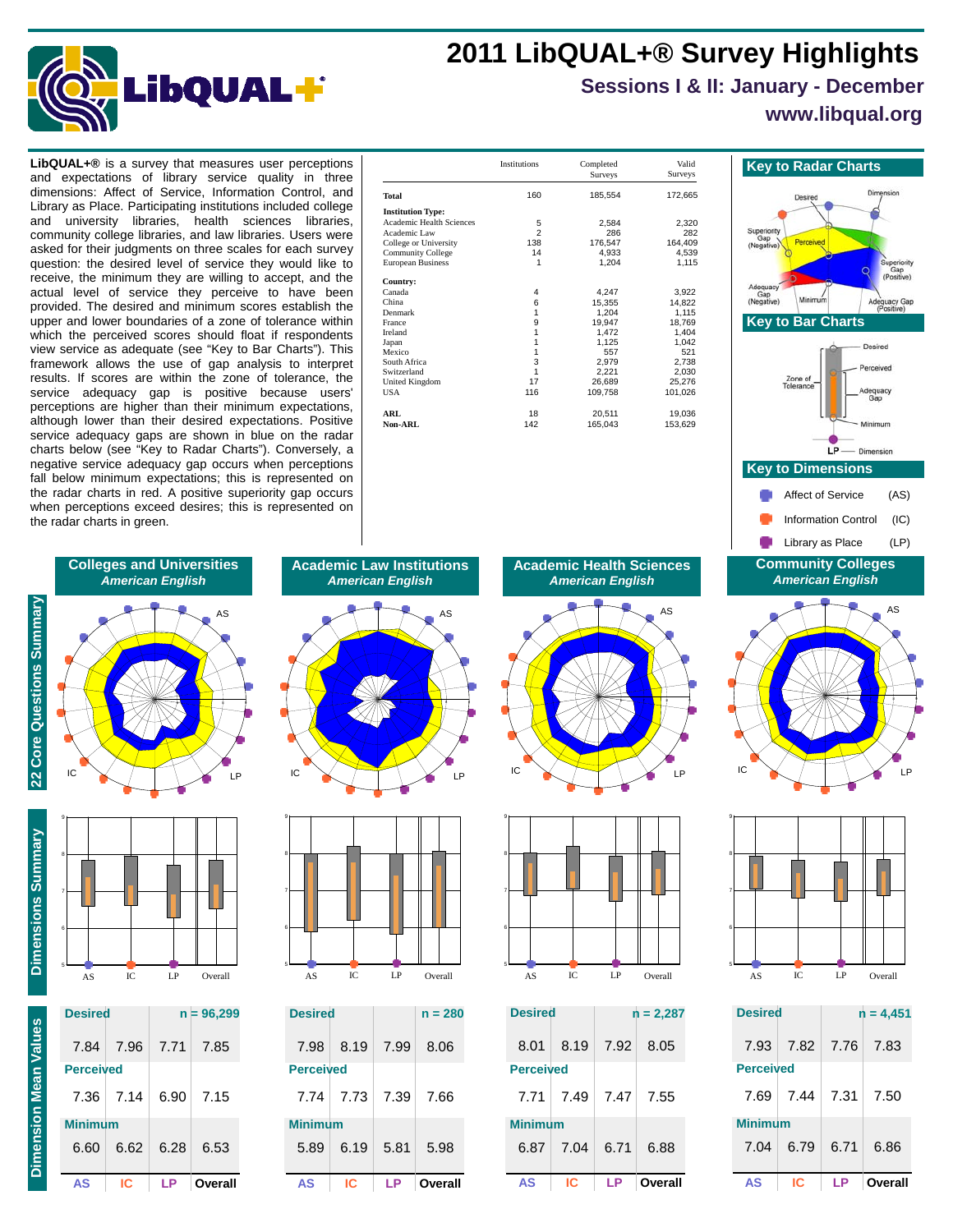## **2011 LibQUAL+® Survey Highlights**



# **Sessions I & II: January - December**

**www.libqual.org**

dimensions: Affect of Service, Information Control, and Library as Place. Participating institutions included college and university libraries, health sciences libraries, community college libraries, and law libraries. Users were asked for their judgments on three scales for each survey question: the desired level of service they would like to receive, the minimum they are willing to accept, and the actual level of service they perceive to have been provided. The desired and minimum scores establish the upper and lower boundaries of a zone of tolerance within which the perceived scores should float if respondents view service as adequate (see "Key to Bar Charts"). This framework allows the use of gap analysis to interpret results. If scores are within the zone of tolerance, the service adequacy gap is positive because users' perceptions are higher than their minimum expectations, although lower than their desired expectations. Positive service adequacy gaps are shown in blue on the radar charts below (see "Key to Radar Charts"). Conversely, a negative service adequacy gap occurs when perceptions fall below minimum expectations; this is represented on the radar charts in red. A positive superiority gap occurs when perceptions exceed desires; this is represented on the radar charts in green.

| LibQUAL+® is a survey that measures user perceptions          |                                                   | Institutions | Completed        | Valid            | <b>Key to Radar Charts</b>   |
|---------------------------------------------------------------|---------------------------------------------------|--------------|------------------|------------------|------------------------------|
| and expectations of library service quality in three          |                                                   |              | <b>Surveys</b>   | Surveys          |                              |
| dimensions: Affect of Service, Information Control, and       | <b>Total</b>                                      | 160          | 185,554          | 172,665          | Desired                      |
| Library as Place. Participating institutions included college | <b>Institution Type:</b>                          |              |                  |                  |                              |
| and university libraries, health sciences libraries,          | <b>Academic Health Sciences</b>                   |              | 2,584            | 2,320            |                              |
| community college libraries, and law libraries. Users were    | Academic Law                                      |              | 286              | 282              | Superiority                  |
| asked for their judgments on three scales for each survey     | College or University<br><b>Community College</b> | 138          | 176,547<br>4,933 | 164,409<br>4.539 | (Negative)                   |
| question: the desired level of service they would like to     | European Business                                 |              | 1,204            | 1,115            |                              |
| receive, the minimum they are willing to accept, and the      | Country:                                          |              |                  |                  |                              |
| actual level of service they perceive to have been            | Canada                                            |              | 4.247            | 3.922            | Adequacy<br>Gan              |
| provided. The desired and minimum scores establish the        | China                                             |              | 15.355           | 14,822           | Minimum<br>Ade<br>(Negative) |
| upper and lower boundaries of a zone of tolerance within      | Denmark                                           |              | 1.204            | 1,115            | <b>Key to Bar Charts</b>     |
|                                                               | France<br>Ireland                                 |              | 19.947<br>1.472  | 18,769<br>1,404  |                              |
| which the perceived scores should float if respondents        | Japan                                             |              | 1,125            | 1,042            |                              |
| view service as adequate (see "Key to Bar Charts"). This      | Mexico                                            |              | 557              | 521              |                              |
| framework allows the use of gap analysis to interpret         | South Africa                                      |              | 2,979            | 2,738            |                              |
|                                                               | Switzerland                                       |              | 2,221            | 2,030            | Zone of                      |
| results. If scores are within the zone of tolerance, the      | United Kingdom                                    |              | 26.689           | 25,276           | Tolerance                    |
| service adequacy gap is positive because users'               | <b>USA</b>                                        | 116          | 109,758          | 101,026          | Adequ                        |
| perceptions are higher than their minimum expectations,       |                                                   |              |                  |                  |                              |
| although lower than their desired expectations. Positive      | ARL                                               | 18           | 20,511           | 19,036           |                              |
|                                                               | Non-ARL                                           | 142          | 165,043          | 153,629          |                              |
| service adequacy gaps are shown in blue on the radar          |                                                   |              |                  |                  |                              |
| charts helow (see "Key to Radar Charts") Conversely a         |                                                   |              |                  |                  |                              |





| <b>Desired</b>   |           |      | $n = 4,451$ |
|------------------|-----------|------|-------------|
|                  | 7.93 7.82 | 7.76 | 7.83        |
| <b>Perceived</b> |           |      |             |
| 7.69             | 7.44      | 7.31 | 7.50        |
| <b>Minimum</b>   |           |      |             |
| 7.04             | 6.79      | 6.71 | 6.86        |
| AS               | IC.       | ΙP   | Overall     |

### **Colleges and Universities** *American English* AS



**Dimension Mean Values**

**Dimension Mean Values** 

**22 Core Questions Summary**

22 Core Questions Summary



9

| A.S              | IC.       | ΙP   | Overall      |
|------------------|-----------|------|--------------|
| <b>Desired</b>   |           |      | $n = 96,299$ |
|                  | 7.84 7.96 |      | 7.71 7.85    |
| <b>Perceived</b> |           |      |              |
|                  | 7.36 7.14 | 6.90 | 7.15         |
| <b>Minimum</b>   |           |      |              |
| 6.60             | 6.62      | 6.28 | 6.53         |

**AS IC LP Overall**

Overall







| <b>Desired</b>   |      |      | $n = 280$ |
|------------------|------|------|-----------|
| 7.98             | 8.19 | 7.99 | 8.06      |
| <b>Perceived</b> |      |      |           |
| 7 74             | 7.73 | 7.39 | 7.66      |
| <b>Minimum</b>   |      |      |           |
| 5.89             | 6.19 | 5.81 | 5.98      |
| AS               | IC   |      | Overall   |

**Academic Health Sciences** *American English*





| <b>Desired</b>   |      | $n = 2,287$ |           |  |
|------------------|------|-------------|-----------|--|
| 8.01             | 8.19 | 7.92        | 8.05      |  |
| <b>Perceived</b> |      |             |           |  |
| 7.71             | 7.49 |             | 7.47 7.55 |  |
| <b>Minimum</b>   |      |             |           |  |
| 6.87             | 7.04 | 6.71        | 6.88      |  |
| AS               | IC.  | ΙP          | Overall   |  |